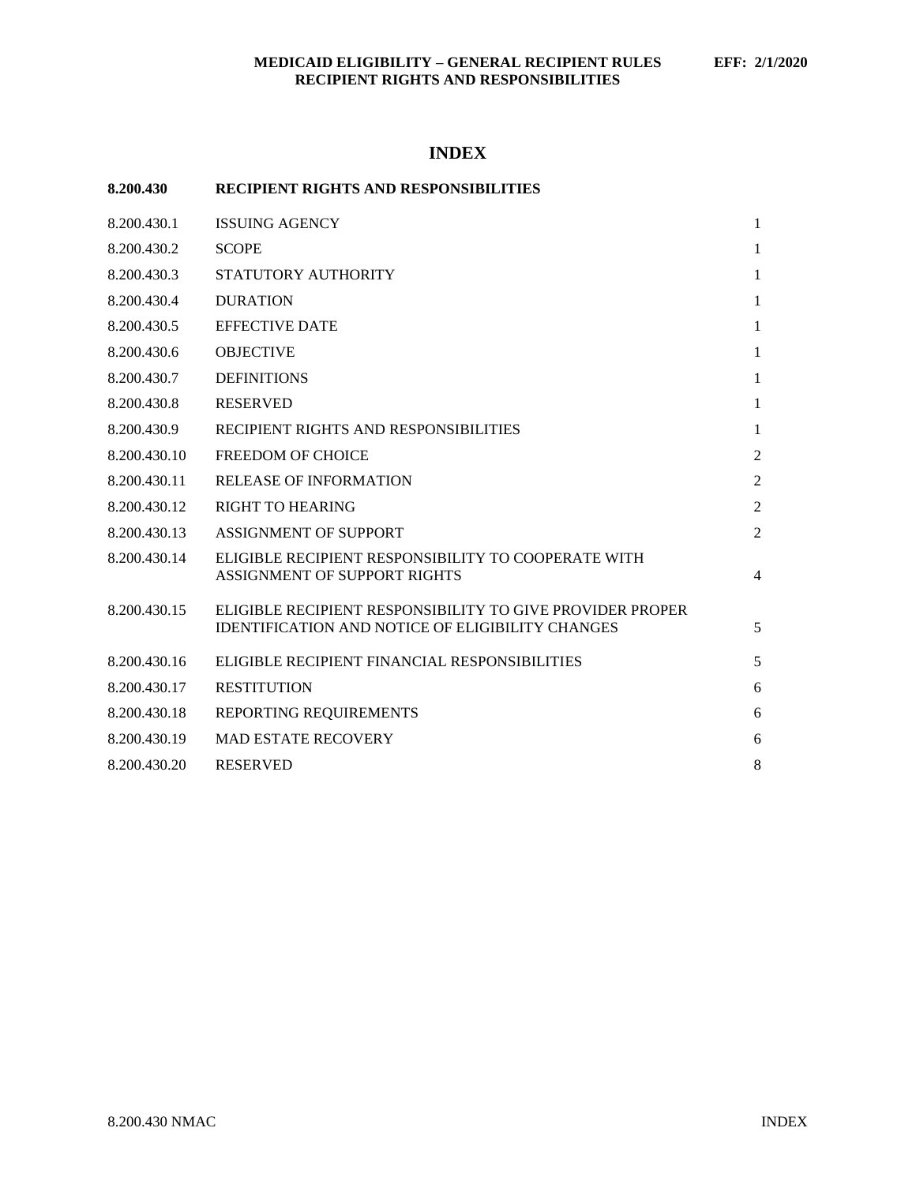# **INDEX**

| 8.200.430    | <b>RECIPIENT RIGHTS AND RESPONSIBILITIES</b>                                                                         |                |
|--------------|----------------------------------------------------------------------------------------------------------------------|----------------|
| 8.200.430.1  | <b>ISSUING AGENCY</b>                                                                                                | 1              |
| 8.200.430.2  | <b>SCOPE</b>                                                                                                         | $\mathbf{1}$   |
| 8.200.430.3  | STATUTORY AUTHORITY                                                                                                  | 1              |
| 8.200.430.4  | <b>DURATION</b>                                                                                                      | 1              |
| 8.200.430.5  | <b>EFFECTIVE DATE</b>                                                                                                | 1              |
| 8.200.430.6  | <b>OBJECTIVE</b>                                                                                                     | $\mathbf{1}$   |
| 8.200.430.7  | <b>DEFINITIONS</b>                                                                                                   | $\mathbf{1}$   |
| 8.200.430.8  | <b>RESERVED</b>                                                                                                      | 1              |
| 8.200.430.9  | RECIPIENT RIGHTS AND RESPONSIBILITIES                                                                                | 1              |
| 8.200.430.10 | <b>FREEDOM OF CHOICE</b>                                                                                             | $\overline{2}$ |
| 8.200.430.11 | <b>RELEASE OF INFORMATION</b>                                                                                        | $\overline{2}$ |
| 8.200.430.12 | <b>RIGHT TO HEARING</b>                                                                                              | $\overline{2}$ |
| 8.200.430.13 | <b>ASSIGNMENT OF SUPPORT</b>                                                                                         | $\overline{2}$ |
| 8.200.430.14 | ELIGIBLE RECIPIENT RESPONSIBILITY TO COOPERATE WITH<br><b>ASSIGNMENT OF SUPPORT RIGHTS</b>                           | 4              |
| 8.200.430.15 | ELIGIBLE RECIPIENT RESPONSIBILITY TO GIVE PROVIDER PROPER<br><b>IDENTIFICATION AND NOTICE OF ELIGIBILITY CHANGES</b> | 5              |
| 8.200.430.16 | ELIGIBLE RECIPIENT FINANCIAL RESPONSIBILITIES                                                                        | 5              |
| 8.200.430.17 | <b>RESTITUTION</b>                                                                                                   | 6              |
| 8.200.430.18 | REPORTING REQUIREMENTS                                                                                               | 6              |
| 8.200.430.19 | <b>MAD ESTATE RECOVERY</b>                                                                                           | 6              |
| 8.200.430.20 | <b>RESERVED</b>                                                                                                      | 8              |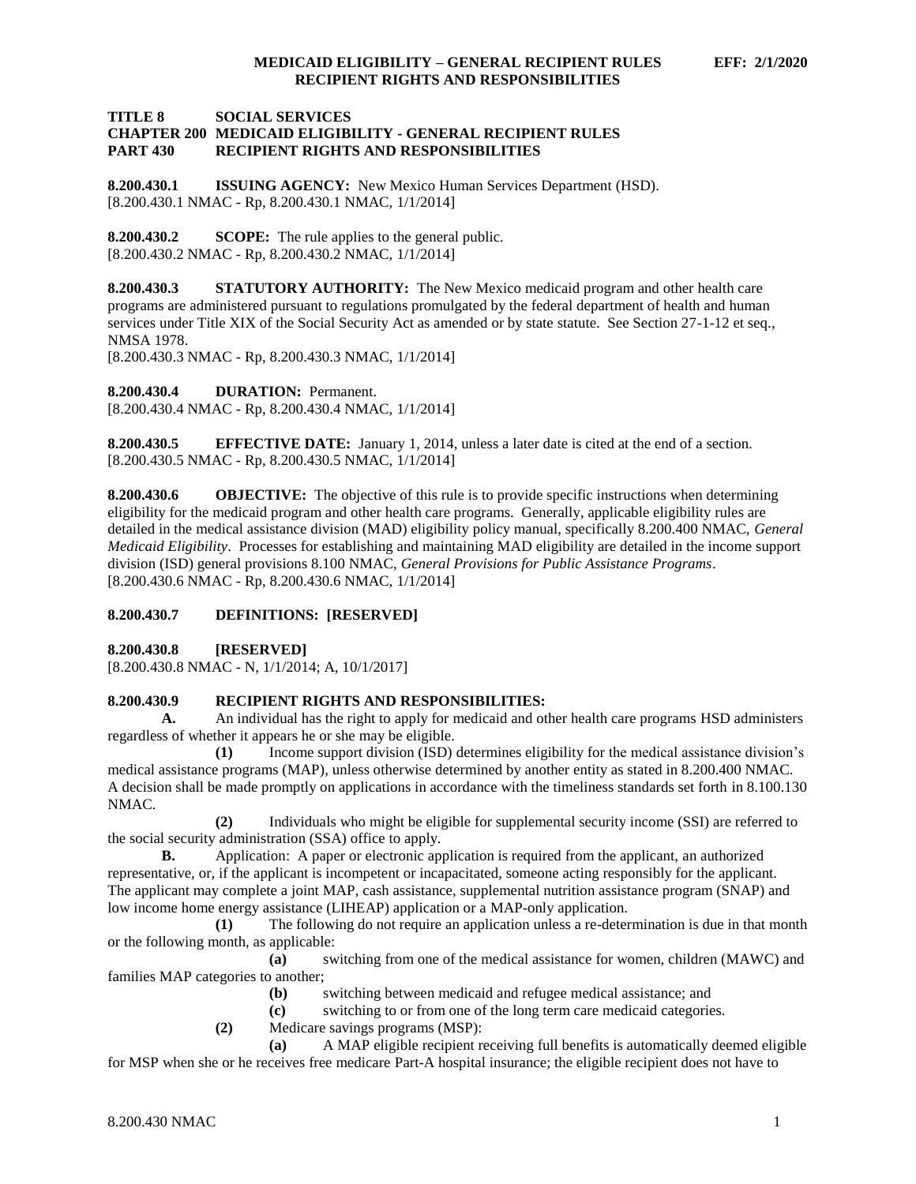### **TITLE 8 SOCIAL SERVICES CHAPTER 200 MEDICAID ELIGIBILITY - GENERAL RECIPIENT RULES PART 430 RECIPIENT RIGHTS AND RESPONSIBILITIES**

<span id="page-1-0"></span>**8.200.430.1 ISSUING AGENCY:** New Mexico Human Services Department (HSD). [8.200.430.1 NMAC - Rp, 8.200.430.1 NMAC, 1/1/2014]

<span id="page-1-1"></span>**8.200.430.2 SCOPE:** The rule applies to the general public. [8.200.430.2 NMAC - Rp, 8.200.430.2 NMAC, 1/1/2014]

<span id="page-1-2"></span>**8.200.430.3 STATUTORY AUTHORITY:** The New Mexico medicaid program and other health care programs are administered pursuant to regulations promulgated by the federal department of health and human services under Title XIX of the Social Security Act as amended or by state statute. See Section 27-1-12 et seq., NMSA 1978.

[8.200.430.3 NMAC - Rp, 8.200.430.3 NMAC, 1/1/2014]

<span id="page-1-3"></span>**8.200.430.4 DURATION:** Permanent.

[8.200.430.4 NMAC - Rp, 8.200.430.4 NMAC, 1/1/2014]

<span id="page-1-4"></span>**8.200.430.5 EFFECTIVE DATE:** January 1, 2014, unless a later date is cited at the end of a section. [8.200.430.5 NMAC - Rp, 8.200.430.5 NMAC, 1/1/2014]

<span id="page-1-5"></span>**8.200.430.6 OBJECTIVE:** The objective of this rule is to provide specific instructions when determining eligibility for the medicaid program and other health care programs. Generally, applicable eligibility rules are detailed in the medical assistance division (MAD) eligibility policy manual, specifically 8.200.400 NMAC, *General Medicaid Eligibility*. Processes for establishing and maintaining MAD eligibility are detailed in the income support division (ISD) general provisions 8.100 NMAC, *General Provisions for Public Assistance Programs*. [8.200.430.6 NMAC - Rp, 8.200.430.6 NMAC, 1/1/2014]

# <span id="page-1-6"></span>**8.200.430.7 DEFINITIONS: [RESERVED]**

<span id="page-1-7"></span>**8.200.430.8 [RESERVED]**

[8.200.430.8 NMAC - N, 1/1/2014; A, 10/1/2017]

# <span id="page-1-8"></span>**8.200.430.9 RECIPIENT RIGHTS AND RESPONSIBILITIES:**

**A.** An individual has the right to apply for medicaid and other health care programs HSD administers regardless of whether it appears he or she may be eligible.

**(1)** Income support division (ISD) determines eligibility for the medical assistance division's medical assistance programs (MAP), unless otherwise determined by another entity as stated in 8.200.400 NMAC. A decision shall be made promptly on applications in accordance with the timeliness standards set forth in 8.100.130 NMAC.

**(2)** Individuals who might be eligible for supplemental security income (SSI) are referred to the social security administration (SSA) office to apply.

**B.** Application: A paper or electronic application is required from the applicant, an authorized representative, or, if the applicant is incompetent or incapacitated, someone acting responsibly for the applicant. The applicant may complete a joint MAP, cash assistance, supplemental nutrition assistance program (SNAP) and low income home energy assistance (LIHEAP) application or a MAP-only application.

**(1)** The following do not require an application unless a re-determination is due in that month or the following month, as applicable:

**(a)** switching from one of the medical assistance for women, children (MAWC) and families MAP categories to another;

**(b)** switching between medicaid and refugee medical assistance; and

**(c)** switching to or from one of the long term care medicaid categories.

**(2)** Medicare savings programs (MSP):

**(a)** A MAP eligible recipient receiving full benefits is automatically deemed eligible for MSP when she or he receives free medicare Part-A hospital insurance; the eligible recipient does not have to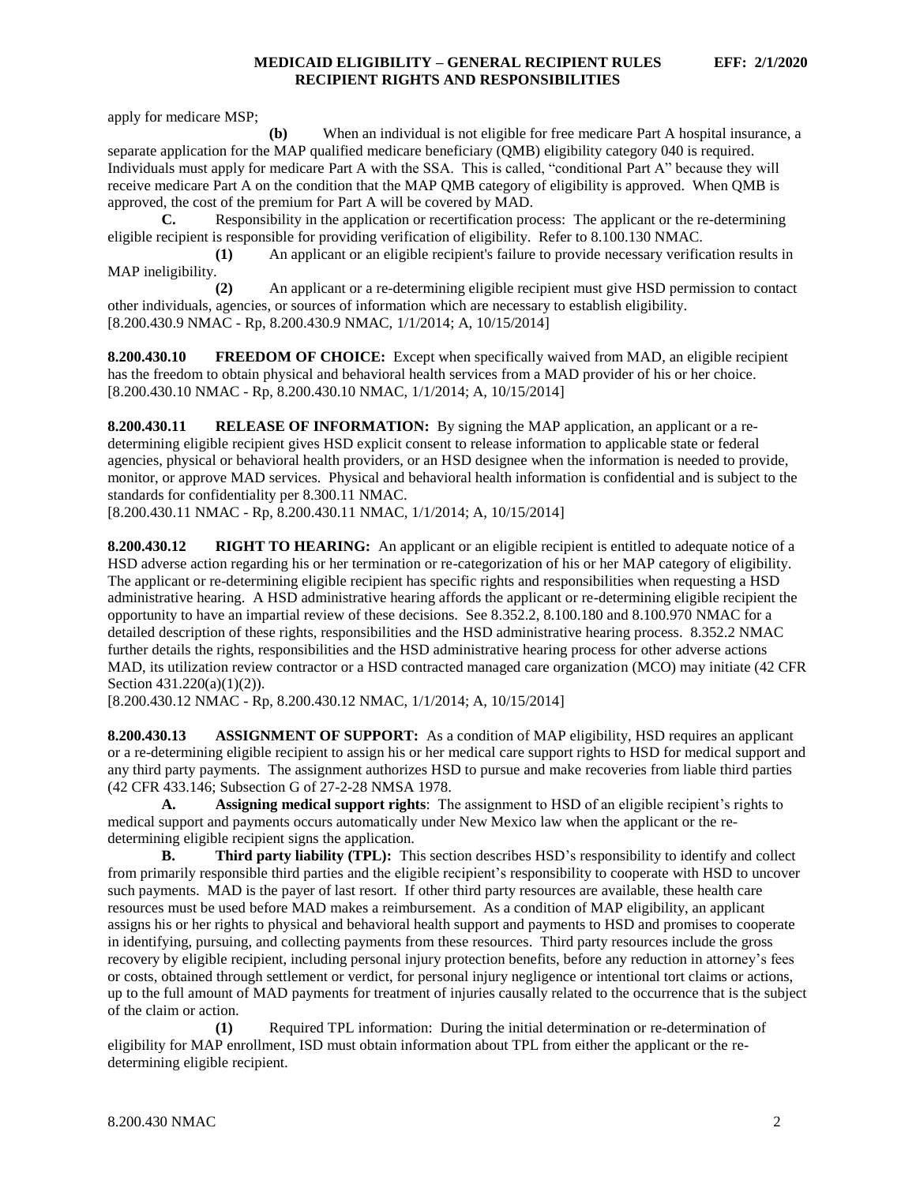apply for medicare MSP;

**(b)** When an individual is not eligible for free medicare Part A hospital insurance, a separate application for the MAP qualified medicare beneficiary (QMB) eligibility category 040 is required. Individuals must apply for medicare Part A with the SSA. This is called, "conditional Part A" because they will receive medicare Part A on the condition that the MAP QMB category of eligibility is approved. When QMB is approved, the cost of the premium for Part A will be covered by MAD.

**C.** Responsibility in the application or recertification process: The applicant or the re-determining eligible recipient is responsible for providing verification of eligibility. Refer to 8.100.130 NMAC.

**(1)** An applicant or an eligible recipient's failure to provide necessary verification results in MAP ineligibility.

**(2)** An applicant or a re-determining eligible recipient must give HSD permission to contact other individuals, agencies, or sources of information which are necessary to establish eligibility. [8.200.430.9 NMAC - Rp, 8.200.430.9 NMAC, 1/1/2014; A, 10/15/2014]

<span id="page-2-0"></span>**8.200.430.10 FREEDOM OF CHOICE:** Except when specifically waived from MAD, an eligible recipient has the freedom to obtain physical and behavioral health services from a MAD provider of his or her choice. [8.200.430.10 NMAC - Rp, 8.200.430.10 NMAC, 1/1/2014; A, 10/15/2014]

<span id="page-2-1"></span>**8.200.430.11 RELEASE OF INFORMATION:** By signing the MAP application, an applicant or a redetermining eligible recipient gives HSD explicit consent to release information to applicable state or federal agencies, physical or behavioral health providers, or an HSD designee when the information is needed to provide, monitor, or approve MAD services. Physical and behavioral health information is confidential and is subject to the standards for confidentiality per 8.300.11 NMAC.

[8.200.430.11 NMAC - Rp, 8.200.430.11 NMAC, 1/1/2014; A, 10/15/2014]

<span id="page-2-2"></span>**8.200.430.12 RIGHT TO HEARING:** An applicant or an eligible recipient is entitled to adequate notice of a HSD adverse action regarding his or her termination or re-categorization of his or her MAP category of eligibility. The applicant or re-determining eligible recipient has specific rights and responsibilities when requesting a HSD administrative hearing. A HSD administrative hearing affords the applicant or re-determining eligible recipient the opportunity to have an impartial review of these decisions. See 8.352.2, 8.100.180 and 8.100.970 NMAC for a detailed description of these rights, responsibilities and the HSD administrative hearing process. 8.352.2 NMAC further details the rights, responsibilities and the HSD administrative hearing process for other adverse actions MAD, its utilization review contractor or a HSD contracted managed care organization (MCO) may initiate (42 CFR Section 431.220(a)(1)(2)).

[8.200.430.12 NMAC - Rp, 8.200.430.12 NMAC, 1/1/2014; A, 10/15/2014]

<span id="page-2-3"></span>**8.200.430.13 ASSIGNMENT OF SUPPORT:** As a condition of MAP eligibility, HSD requires an applicant or a re-determining eligible recipient to assign his or her medical care support rights to HSD for medical support and any third party payments. The assignment authorizes HSD to pursue and make recoveries from liable third parties (42 CFR 433.146; Subsection G of 27-2-28 NMSA 1978.

**A. Assigning medical support rights**: The assignment to HSD of an eligible recipient's rights to medical support and payments occurs automatically under New Mexico law when the applicant or the redetermining eligible recipient signs the application.

**B. Third party liability (TPL):** This section describes HSD's responsibility to identify and collect from primarily responsible third parties and the eligible recipient's responsibility to cooperate with HSD to uncover such payments. MAD is the payer of last resort. If other third party resources are available, these health care resources must be used before MAD makes a reimbursement. As a condition of MAP eligibility, an applicant assigns his or her rights to physical and behavioral health support and payments to HSD and promises to cooperate in identifying, pursuing, and collecting payments from these resources. Third party resources include the gross recovery by eligible recipient, including personal injury protection benefits, before any reduction in attorney's fees or costs, obtained through settlement or verdict, for personal injury negligence or intentional tort claims or actions, up to the full amount of MAD payments for treatment of injuries causally related to the occurrence that is the subject of the claim or action.

**(1)** Required TPL information: During the initial determination or re-determination of eligibility for MAP enrollment, ISD must obtain information about TPL from either the applicant or the redetermining eligible recipient.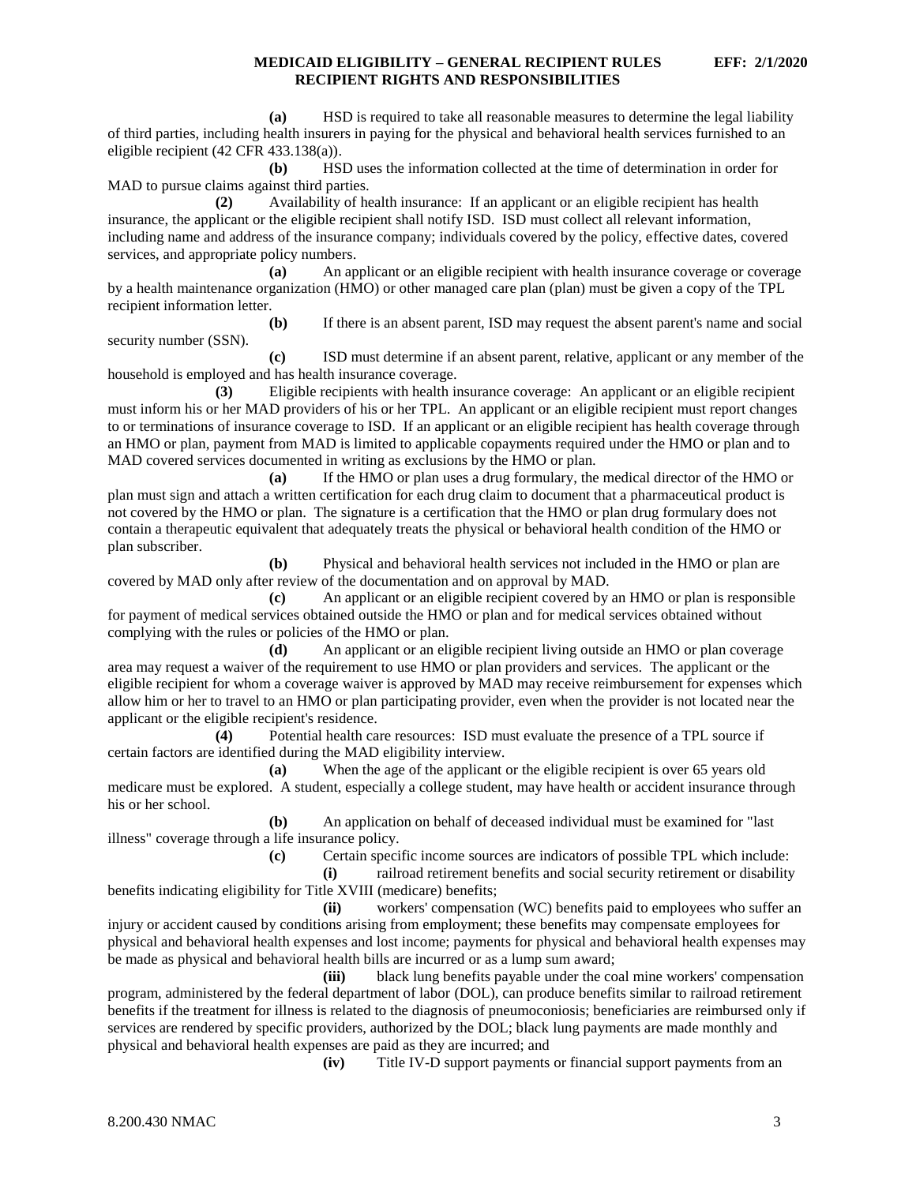**(a)** HSD is required to take all reasonable measures to determine the legal liability of third parties, including health insurers in paying for the physical and behavioral health services furnished to an eligible recipient (42 CFR 433.138(a)).

**(b)** HSD uses the information collected at the time of determination in order for MAD to pursue claims against third parties.

**(2)** Availability of health insurance: If an applicant or an eligible recipient has health insurance, the applicant or the eligible recipient shall notify ISD. ISD must collect all relevant information, including name and address of the insurance company; individuals covered by the policy, effective dates, covered services, and appropriate policy numbers.

**(a)** An applicant or an eligible recipient with health insurance coverage or coverage by a health maintenance organization (HMO) or other managed care plan (plan) must be given a copy of the TPL recipient information letter.

**(b)** If there is an absent parent, ISD may request the absent parent's name and social security number (SSN).

**(c)** ISD must determine if an absent parent, relative, applicant or any member of the household is employed and has health insurance coverage.

**(3)** Eligible recipients with health insurance coverage: An applicant or an eligible recipient must inform his or her MAD providers of his or her TPL. An applicant or an eligible recipient must report changes to or terminations of insurance coverage to ISD. If an applicant or an eligible recipient has health coverage through an HMO or plan, payment from MAD is limited to applicable copayments required under the HMO or plan and to MAD covered services documented in writing as exclusions by the HMO or plan.

**(a)** If the HMO or plan uses a drug formulary, the medical director of the HMO or plan must sign and attach a written certification for each drug claim to document that a pharmaceutical product is not covered by the HMO or plan. The signature is a certification that the HMO or plan drug formulary does not contain a therapeutic equivalent that adequately treats the physical or behavioral health condition of the HMO or plan subscriber.

**(b)** Physical and behavioral health services not included in the HMO or plan are covered by MAD only after review of the documentation and on approval by MAD.

**(c)** An applicant or an eligible recipient covered by an HMO or plan is responsible for payment of medical services obtained outside the HMO or plan and for medical services obtained without complying with the rules or policies of the HMO or plan.

**(d)** An applicant or an eligible recipient living outside an HMO or plan coverage area may request a waiver of the requirement to use HMO or plan providers and services. The applicant or the eligible recipient for whom a coverage waiver is approved by MAD may receive reimbursement for expenses which allow him or her to travel to an HMO or plan participating provider, even when the provider is not located near the applicant or the eligible recipient's residence.

**(4)** Potential health care resources: ISD must evaluate the presence of a TPL source if certain factors are identified during the MAD eligibility interview.

**(a)** When the age of the applicant or the eligible recipient is over 65 years old medicare must be explored. A student, especially a college student, may have health or accident insurance through his or her school.

**(b)** An application on behalf of deceased individual must be examined for "last illness" coverage through a life insurance policy.

**(c)** Certain specific income sources are indicators of possible TPL which include:

**(i)** railroad retirement benefits and social security retirement or disability benefits indicating eligibility for Title XVIII (medicare) benefits;

**(ii)** workers' compensation (WC) benefits paid to employees who suffer an injury or accident caused by conditions arising from employment; these benefits may compensate employees for physical and behavioral health expenses and lost income; payments for physical and behavioral health expenses may be made as physical and behavioral health bills are incurred or as a lump sum award;

**(iii)** black lung benefits payable under the coal mine workers' compensation program, administered by the federal department of labor (DOL), can produce benefits similar to railroad retirement benefits if the treatment for illness is related to the diagnosis of pneumoconiosis; beneficiaries are reimbursed only if services are rendered by specific providers, authorized by the DOL; black lung payments are made monthly and physical and behavioral health expenses are paid as they are incurred; and

**(iv)** Title IV-D support payments or financial support payments from an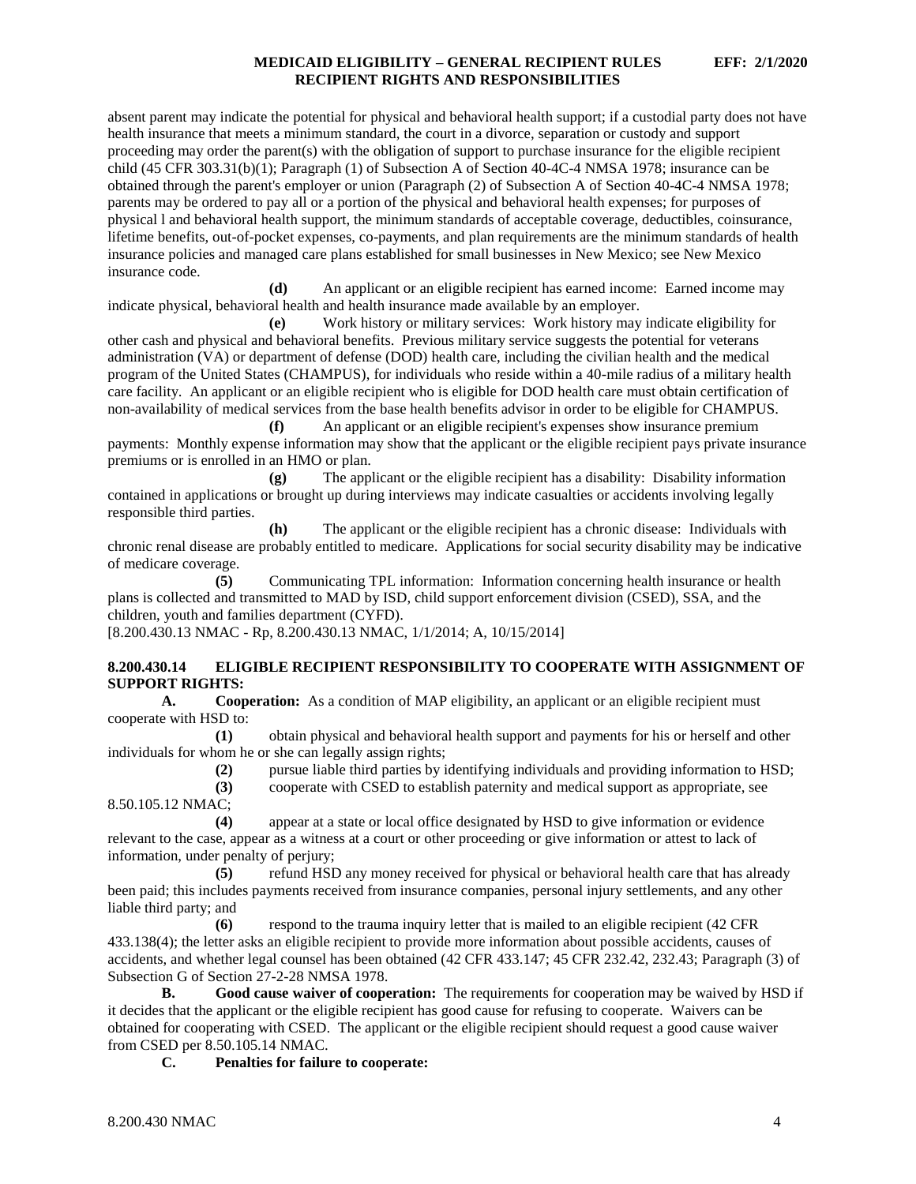absent parent may indicate the potential for physical and behavioral health support; if a custodial party does not have health insurance that meets a minimum standard, the court in a divorce, separation or custody and support proceeding may order the parent(s) with the obligation of support to purchase insurance for the eligible recipient child (45 CFR 303.31(b)(1); Paragraph (1) of Subsection A of Section 40-4C-4 NMSA 1978; insurance can be obtained through the parent's employer or union (Paragraph (2) of Subsection A of Section 40-4C-4 NMSA 1978; parents may be ordered to pay all or a portion of the physical and behavioral health expenses; for purposes of physical l and behavioral health support, the minimum standards of acceptable coverage, deductibles, coinsurance, lifetime benefits, out-of-pocket expenses, co-payments, and plan requirements are the minimum standards of health insurance policies and managed care plans established for small businesses in New Mexico; see New Mexico insurance code.

**(d)** An applicant or an eligible recipient has earned income: Earned income may indicate physical, behavioral health and health insurance made available by an employer.

**(e)** Work history or military services: Work history may indicate eligibility for other cash and physical and behavioral benefits. Previous military service suggests the potential for veterans administration (VA) or department of defense (DOD) health care, including the civilian health and the medical program of the United States (CHAMPUS), for individuals who reside within a 40-mile radius of a military health care facility. An applicant or an eligible recipient who is eligible for DOD health care must obtain certification of non-availability of medical services from the base health benefits advisor in order to be eligible for CHAMPUS.

**(f)** An applicant or an eligible recipient's expenses show insurance premium payments: Monthly expense information may show that the applicant or the eligible recipient pays private insurance premiums or is enrolled in an HMO or plan.

**(g)** The applicant or the eligible recipient has a disability: Disability information contained in applications or brought up during interviews may indicate casualties or accidents involving legally responsible third parties.

**(h)** The applicant or the eligible recipient has a chronic disease: Individuals with chronic renal disease are probably entitled to medicare. Applications for social security disability may be indicative of medicare coverage.

**(5)** Communicating TPL information: Information concerning health insurance or health plans is collected and transmitted to MAD by ISD, child support enforcement division (CSED), SSA, and the children, youth and families department (CYFD).

[8.200.430.13 NMAC - Rp, 8.200.430.13 NMAC, 1/1/2014; A, 10/15/2014]

# <span id="page-4-0"></span>**8.200.430.14 ELIGIBLE RECIPIENT RESPONSIBILITY TO COOPERATE WITH ASSIGNMENT OF SUPPORT RIGHTS:**

**A. Cooperation:** As a condition of MAP eligibility, an applicant or an eligible recipient must cooperate with HSD to:

**(1)** obtain physical and behavioral health support and payments for his or herself and other individuals for whom he or she can legally assign rights;

**(2)** pursue liable third parties by identifying individuals and providing information to HSD;

**(3)** cooperate with CSED to establish paternity and medical support as appropriate, see 8.50.105.12 NMAC;

**(4)** appear at a state or local office designated by HSD to give information or evidence relevant to the case, appear as a witness at a court or other proceeding or give information or attest to lack of information, under penalty of perjury;

**(5)** refund HSD any money received for physical or behavioral health care that has already been paid; this includes payments received from insurance companies, personal injury settlements, and any other liable third party; and

**(6)** respond to the trauma inquiry letter that is mailed to an eligible recipient (42 CFR 433.138(4); the letter asks an eligible recipient to provide more information about possible accidents, causes of accidents, and whether legal counsel has been obtained (42 CFR 433.147; 45 CFR 232.42, 232.43; Paragraph (3) of Subsection G of Section 27-2-28 NMSA 1978.

**B. Good cause waiver of cooperation:** The requirements for cooperation may be waived by HSD if it decides that the applicant or the eligible recipient has good cause for refusing to cooperate. Waivers can be obtained for cooperating with CSED. The applicant or the eligible recipient should request a good cause waiver from CSED per 8.50.105.14 NMAC.

**C. Penalties for failure to cooperate:**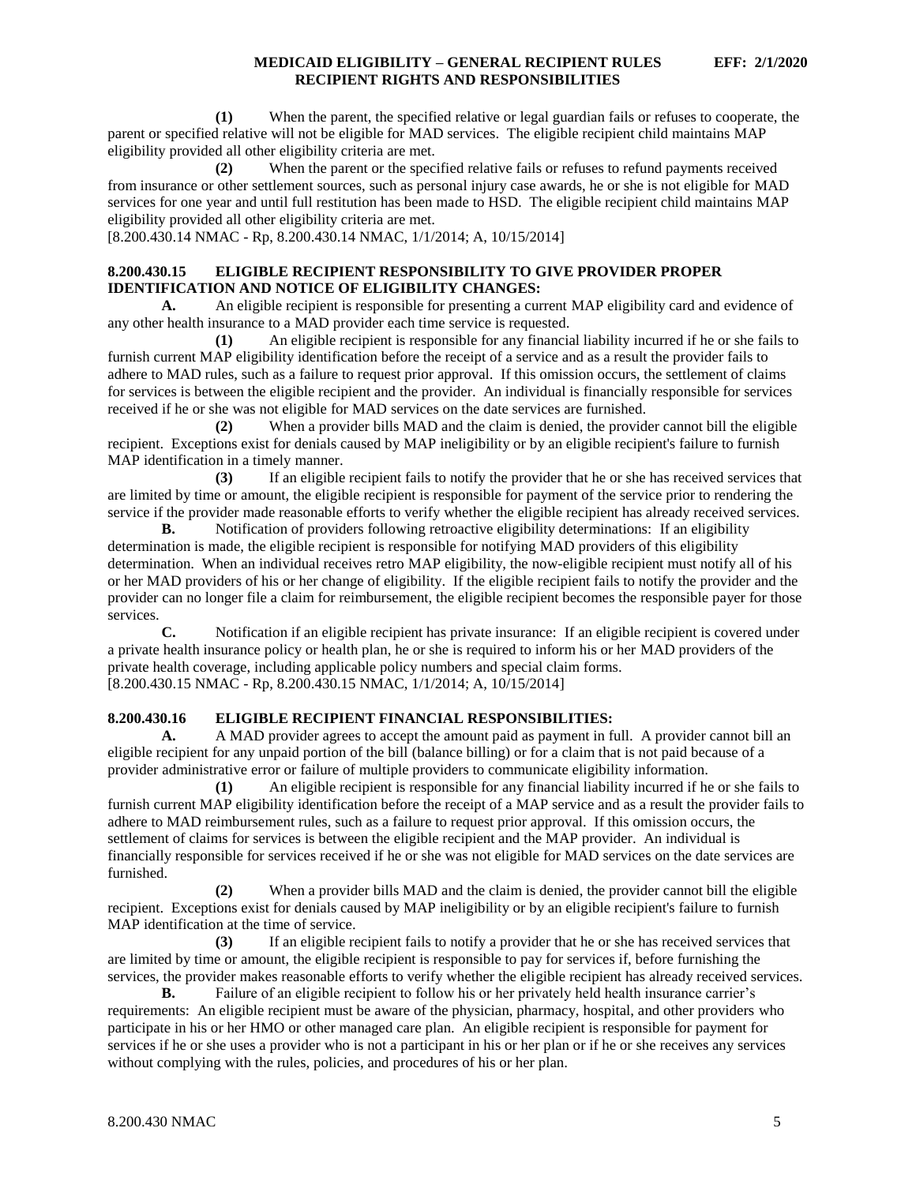**(1)** When the parent, the specified relative or legal guardian fails or refuses to cooperate, the parent or specified relative will not be eligible for MAD services. The eligible recipient child maintains MAP eligibility provided all other eligibility criteria are met.

**(2)** When the parent or the specified relative fails or refuses to refund payments received from insurance or other settlement sources, such as personal injury case awards, he or she is not eligible for MAD services for one year and until full restitution has been made to HSD. The eligible recipient child maintains MAP eligibility provided all other eligibility criteria are met.

[8.200.430.14 NMAC - Rp, 8.200.430.14 NMAC, 1/1/2014; A, 10/15/2014]

# <span id="page-5-0"></span>**8.200.430.15 ELIGIBLE RECIPIENT RESPONSIBILITY TO GIVE PROVIDER PROPER IDENTIFICATION AND NOTICE OF ELIGIBILITY CHANGES:**

**A.** An eligible recipient is responsible for presenting a current MAP eligibility card and evidence of any other health insurance to a MAD provider each time service is requested.

**(1)** An eligible recipient is responsible for any financial liability incurred if he or she fails to furnish current MAP eligibility identification before the receipt of a service and as a result the provider fails to adhere to MAD rules, such as a failure to request prior approval. If this omission occurs, the settlement of claims for services is between the eligible recipient and the provider. An individual is financially responsible for services received if he or she was not eligible for MAD services on the date services are furnished.

**(2)** When a provider bills MAD and the claim is denied, the provider cannot bill the eligible recipient. Exceptions exist for denials caused by MAP ineligibility or by an eligible recipient's failure to furnish MAP identification in a timely manner.

**(3)** If an eligible recipient fails to notify the provider that he or she has received services that are limited by time or amount, the eligible recipient is responsible for payment of the service prior to rendering the service if the provider made reasonable efforts to verify whether the eligible recipient has already received services.

**B.** Notification of providers following retroactive eligibility determinations: If an eligibility determination is made, the eligible recipient is responsible for notifying MAD providers of this eligibility determination. When an individual receives retro MAP eligibility, the now-eligible recipient must notify all of his or her MAD providers of his or her change of eligibility. If the eligible recipient fails to notify the provider and the provider can no longer file a claim for reimbursement, the eligible recipient becomes the responsible payer for those services.

**C.** Notification if an eligible recipient has private insurance: If an eligible recipient is covered under a private health insurance policy or health plan, he or she is required to inform his or her MAD providers of the private health coverage, including applicable policy numbers and special claim forms. [8.200.430.15 NMAC - Rp, 8.200.430.15 NMAC, 1/1/2014; A, 10/15/2014]

# <span id="page-5-1"></span>**8.200.430.16 ELIGIBLE RECIPIENT FINANCIAL RESPONSIBILITIES:**

A. A MAD provider agrees to accept the amount paid as payment in full. A provider cannot bill an eligible recipient for any unpaid portion of the bill (balance billing) or for a claim that is not paid because of a provider administrative error or failure of multiple providers to communicate eligibility information.

**(1)** An eligible recipient is responsible for any financial liability incurred if he or she fails to furnish current MAP eligibility identification before the receipt of a MAP service and as a result the provider fails to adhere to MAD reimbursement rules, such as a failure to request prior approval. If this omission occurs, the settlement of claims for services is between the eligible recipient and the MAP provider. An individual is financially responsible for services received if he or she was not eligible for MAD services on the date services are furnished.

**(2)** When a provider bills MAD and the claim is denied, the provider cannot bill the eligible recipient. Exceptions exist for denials caused by MAP ineligibility or by an eligible recipient's failure to furnish MAP identification at the time of service.

**(3)** If an eligible recipient fails to notify a provider that he or she has received services that are limited by time or amount, the eligible recipient is responsible to pay for services if, before furnishing the services, the provider makes reasonable efforts to verify whether the eligible recipient has already received services.

**B.** Failure of an eligible recipient to follow his or her privately held health insurance carrier's requirements: An eligible recipient must be aware of the physician, pharmacy, hospital, and other providers who participate in his or her HMO or other managed care plan. An eligible recipient is responsible for payment for services if he or she uses a provider who is not a participant in his or her plan or if he or she receives any services without complying with the rules, policies, and procedures of his or her plan.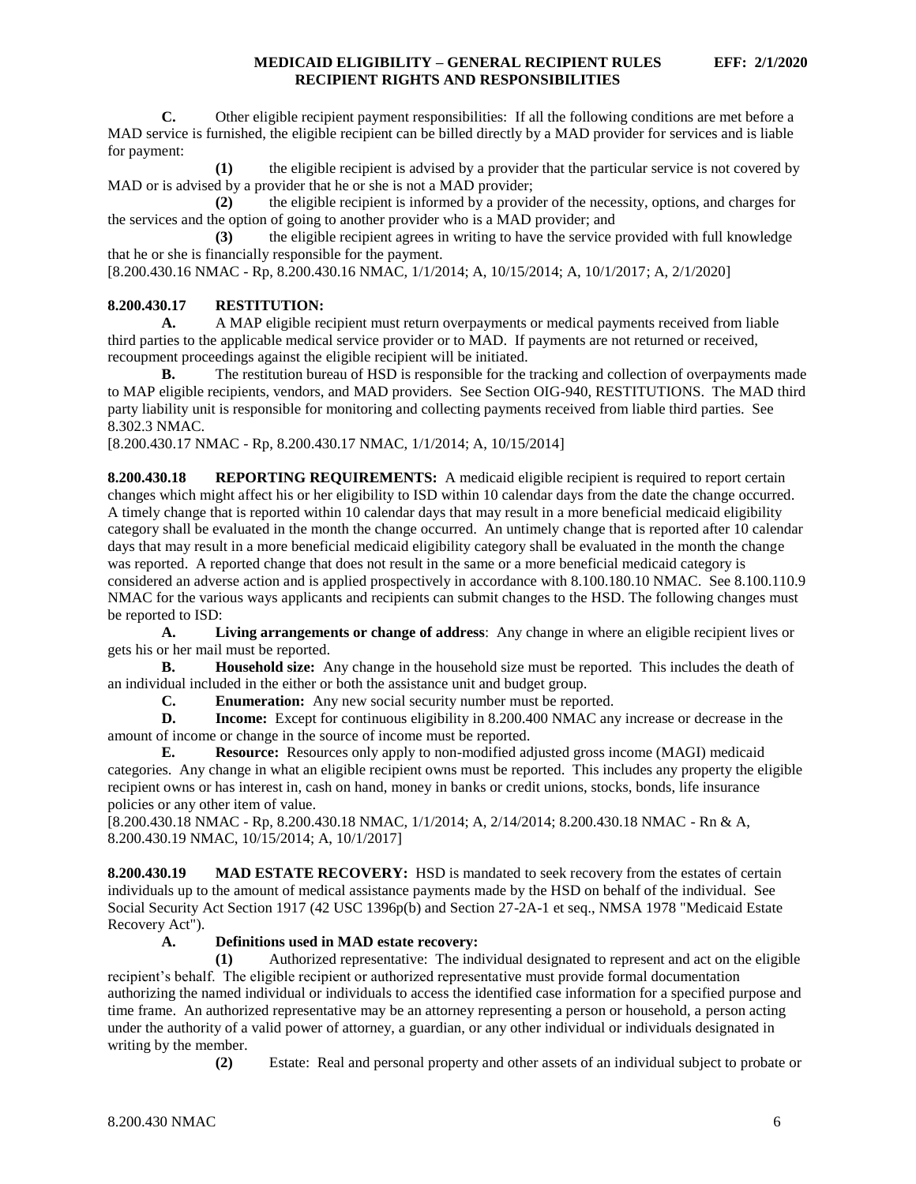**C.** Other eligible recipient payment responsibilities: If all the following conditions are met before a MAD service is furnished, the eligible recipient can be billed directly by a MAD provider for services and is liable for payment:

**(1)** the eligible recipient is advised by a provider that the particular service is not covered by MAD or is advised by a provider that he or she is not a MAD provider;

**(2)** the eligible recipient is informed by a provider of the necessity, options, and charges for the services and the option of going to another provider who is a MAD provider; and

**(3)** the eligible recipient agrees in writing to have the service provided with full knowledge that he or she is financially responsible for the payment.

[8.200.430.16 NMAC - Rp, 8.200.430.16 NMAC, 1/1/2014; A, 10/15/2014; A, 10/1/2017; A, 2/1/2020]

# <span id="page-6-0"></span>**8.200.430.17 RESTITUTION:**

**A.** A MAP eligible recipient must return overpayments or medical payments received from liable third parties to the applicable medical service provider or to MAD. If payments are not returned or received, recoupment proceedings against the eligible recipient will be initiated.

**B.** The restitution bureau of HSD is responsible for the tracking and collection of overpayments made to MAP eligible recipients, vendors, and MAD providers. See Section OIG-940, RESTITUTIONS. The MAD third party liability unit is responsible for monitoring and collecting payments received from liable third parties. See 8.302.3 NMAC.

[8.200.430.17 NMAC - Rp, 8.200.430.17 NMAC, 1/1/2014; A, 10/15/2014]

<span id="page-6-1"></span>**8.200.430.18 REPORTING REQUIREMENTS:** A medicaid eligible recipient is required to report certain changes which might affect his or her eligibility to ISD within 10 calendar days from the date the change occurred. A timely change that is reported within 10 calendar days that may result in a more beneficial medicaid eligibility category shall be evaluated in the month the change occurred. An untimely change that is reported after 10 calendar days that may result in a more beneficial medicaid eligibility category shall be evaluated in the month the change was reported. A reported change that does not result in the same or a more beneficial medicaid category is considered an adverse action and is applied prospectively in accordance with 8.100.180.10 NMAC. See 8.100.110.9 NMAC for the various ways applicants and recipients can submit changes to the HSD. The following changes must be reported to ISD:

**A. Living arrangements or change of address**: Any change in where an eligible recipient lives or gets his or her mail must be reported.

**B. Household size:** Any change in the household size must be reported. This includes the death of an individual included in the either or both the assistance unit and budget group.

**C. Enumeration:** Any new social security number must be reported.

**D. Income:** Except for continuous eligibility in 8.200.400 NMAC any increase or decrease in the amount of income or change in the source of income must be reported.

**E. Resource:** Resources only apply to non-modified adjusted gross income (MAGI) medicaid categories. Any change in what an eligible recipient owns must be reported. This includes any property the eligible recipient owns or has interest in, cash on hand, money in banks or credit unions, stocks, bonds, life insurance policies or any other item of value.

[8.200.430.18 NMAC - Rp, 8.200.430.18 NMAC, 1/1/2014; A, 2/14/2014; 8.200.430.18 NMAC - Rn & A, 8.200.430.19 NMAC, 10/15/2014; A, 10/1/2017]

<span id="page-6-2"></span>**8.200.430.19 MAD ESTATE RECOVERY:** HSD is mandated to seek recovery from the estates of certain individuals up to the amount of medical assistance payments made by the HSD on behalf of the individual. See Social Security Act Section 1917 (42 USC 1396p(b) and Section 27-2A-1 et seq., NMSA 1978 "Medicaid Estate Recovery Act").

# **A. Definitions used in MAD estate recovery:**

**(1)** Authorized representative: The individual designated to represent and act on the eligible recipient's behalf. The eligible recipient or authorized representative must provide formal documentation authorizing the named individual or individuals to access the identified case information for a specified purpose and time frame. An authorized representative may be an attorney representing a person or household, a person acting under the authority of a valid power of attorney, a guardian, or any other individual or individuals designated in writing by the member.

**(2)** Estate: Real and personal property and other assets of an individual subject to probate or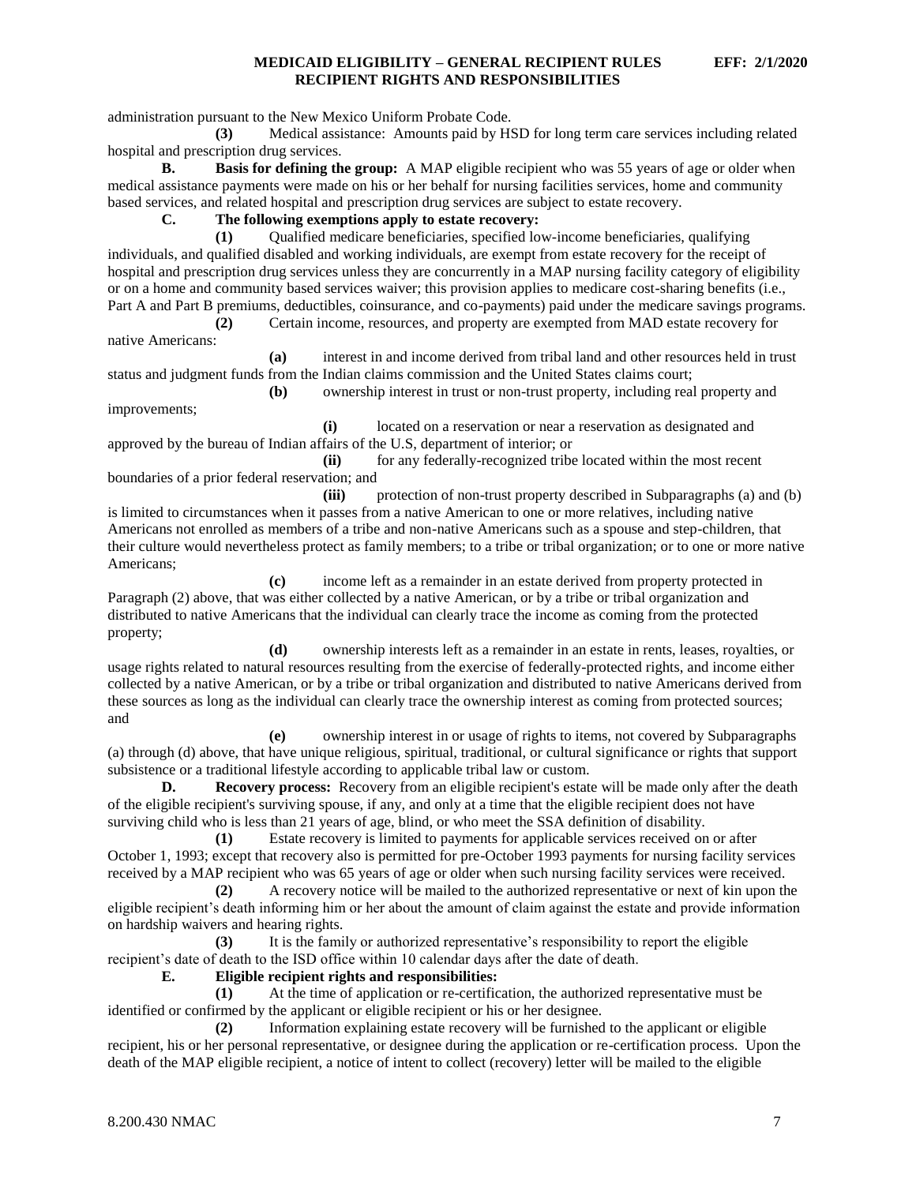administration pursuant to the New Mexico Uniform Probate Code.

**(3)** Medical assistance: Amounts paid by HSD for long term care services including related hospital and prescription drug services.

**B. Basis for defining the group:** A MAP eligible recipient who was 55 years of age or older when medical assistance payments were made on his or her behalf for nursing facilities services, home and community based services, and related hospital and prescription drug services are subject to estate recovery.

**C. The following exemptions apply to estate recovery:**

**(1)** Qualified medicare beneficiaries, specified low-income beneficiaries, qualifying individuals, and qualified disabled and working individuals, are exempt from estate recovery for the receipt of hospital and prescription drug services unless they are concurrently in a MAP nursing facility category of eligibility or on a home and community based services waiver; this provision applies to medicare cost-sharing benefits (i.e., Part A and Part B premiums, deductibles, coinsurance, and co-payments) paid under the medicare savings programs.

**(2)** Certain income, resources, and property are exempted from MAD estate recovery for native Americans:

**(a)** interest in and income derived from tribal land and other resources held in trust status and judgment funds from the Indian claims commission and the United States claims court; **(b)** ownership interest in trust or non-trust property, including real property and

improvements;

**(i)** located on a reservation or near a reservation as designated and

approved by the bureau of Indian affairs of the U.S, department of interior; or **(ii)** for any federally-recognized tribe located within the most recent

boundaries of a prior federal reservation; and

**(iii)** protection of non-trust property described in Subparagraphs (a) and (b) is limited to circumstances when it passes from a native American to one or more relatives, including native Americans not enrolled as members of a tribe and non-native Americans such as a spouse and step-children, that their culture would nevertheless protect as family members; to a tribe or tribal organization; or to one or more native Americans;

**(c)** income left as a remainder in an estate derived from property protected in Paragraph (2) above, that was either collected by a native American, or by a tribe or tribal organization and distributed to native Americans that the individual can clearly trace the income as coming from the protected property;

**(d)** ownership interests left as a remainder in an estate in rents, leases, royalties, or usage rights related to natural resources resulting from the exercise of federally-protected rights, and income either collected by a native American, or by a tribe or tribal organization and distributed to native Americans derived from these sources as long as the individual can clearly trace the ownership interest as coming from protected sources; and

**(e)** ownership interest in or usage of rights to items, not covered by Subparagraphs (a) through (d) above, that have unique religious, spiritual, traditional, or cultural significance or rights that support subsistence or a traditional lifestyle according to applicable tribal law or custom.

**D. Recovery process:** Recovery from an eligible recipient's estate will be made only after the death of the eligible recipient's surviving spouse, if any, and only at a time that the eligible recipient does not have surviving child who is less than 21 years of age, blind, or who meet the SSA definition of disability.

**(1)** Estate recovery is limited to payments for applicable services received on or after October 1, 1993; except that recovery also is permitted for pre-October 1993 payments for nursing facility services received by a MAP recipient who was 65 years of age or older when such nursing facility services were received.

**(2)** A recovery notice will be mailed to the authorized representative or next of kin upon the eligible recipient's death informing him or her about the amount of claim against the estate and provide information on hardship waivers and hearing rights.

**(3)** It is the family or authorized representative's responsibility to report the eligible recipient's date of death to the ISD office within 10 calendar days after the date of death.

**E. Eligible recipient rights and responsibilities:**

**(1)** At the time of application or re-certification, the authorized representative must be identified or confirmed by the applicant or eligible recipient or his or her designee.

**(2)** Information explaining estate recovery will be furnished to the applicant or eligible recipient, his or her personal representative, or designee during the application or re-certification process. Upon the death of the MAP eligible recipient, a notice of intent to collect (recovery) letter will be mailed to the eligible